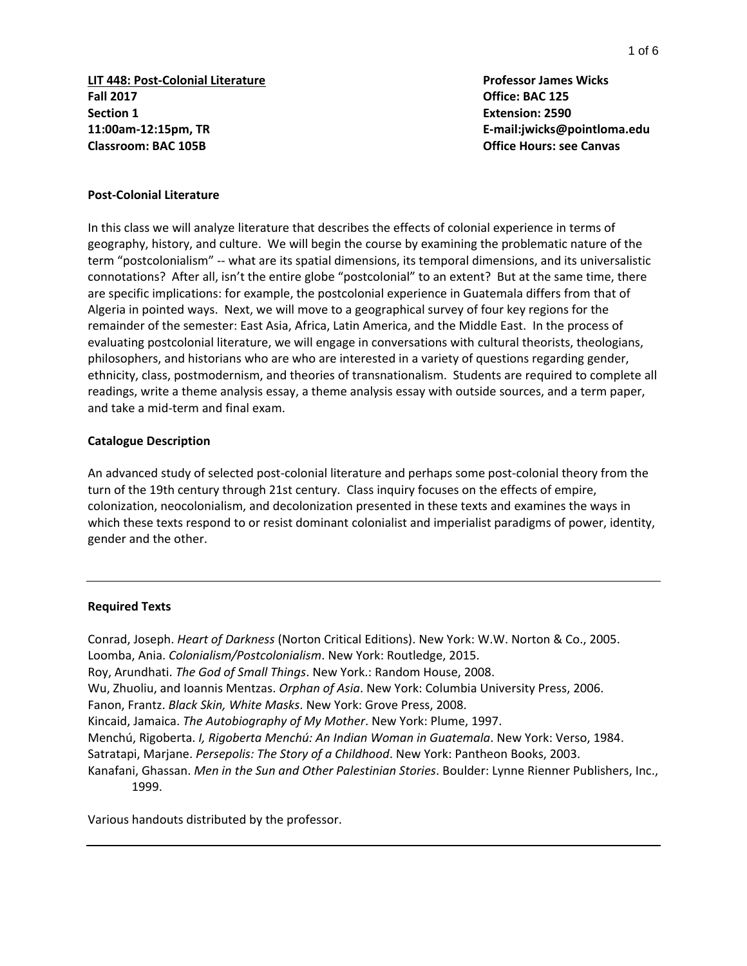**LIT 448: Post-Colonial Literature Professor James Wicks Fall 2017 Office: BAC 125 Section 1 Extension: 2590 11:00am-12:15pm, TR E-mail:jwicks@pointloma.edu Classroom: BAC 105B Office Hours: see Canvas**

#### **Post-Colonial Literature**

In this class we will analyze literature that describes the effects of colonial experience in terms of geography, history, and culture. We will begin the course by examining the problematic nature of the term "postcolonialism" -- what are its spatial dimensions, its temporal dimensions, and its universalistic connotations? After all, isn't the entire globe "postcolonial" to an extent? But at the same time, there are specific implications: for example, the postcolonial experience in Guatemala differs from that of Algeria in pointed ways. Next, we will move to a geographical survey of four key regions for the remainder of the semester: East Asia, Africa, Latin America, and the Middle East. In the process of evaluating postcolonial literature, we will engage in conversations with cultural theorists, theologians, philosophers, and historians who are who are interested in a variety of questions regarding gender, ethnicity, class, postmodernism, and theories of transnationalism. Students are required to complete all readings, write a theme analysis essay, a theme analysis essay with outside sources, and a term paper, and take a mid-term and final exam.

#### **Catalogue Description**

An advanced study of selected post-colonial literature and perhaps some post-colonial theory from the turn of the 19th century through 21st century. Class inquiry focuses on the effects of empire, colonization, neocolonialism, and decolonization presented in these texts and examines the ways in which these texts respond to or resist dominant colonialist and imperialist paradigms of power, identity, gender and the other.

#### **Required Texts**

Conrad, Joseph. *Heart of Darkness* (Norton Critical Editions). New York: W.W. Norton & Co., 2005. Loomba, Ania. *Colonialism/Postcolonialism*. New York: Routledge, 2015. Roy, Arundhati. *The God of Small Things*. New York.: Random House, 2008. Wu, Zhuoliu, and Ioannis Mentzas. *Orphan of Asia*. New York: Columbia University Press, 2006. Fanon, Frantz. *Black Skin, White Masks*. New York: Grove Press, 2008. Kincaid, Jamaica. *The Autobiography of My Mother*. New York: Plume, 1997. Menchú, Rigoberta. *I, Rigoberta Menchú: An Indian Woman in Guatemala*. New York: Verso, 1984. Satratapi, Marjane. *Persepolis: The Story of a Childhood*. New York: Pantheon Books, 2003. Kanafani, Ghassan. *Men in the Sun and Other Palestinian Stories*. Boulder: Lynne Rienner Publishers, Inc., 1999.

Various handouts distributed by the professor.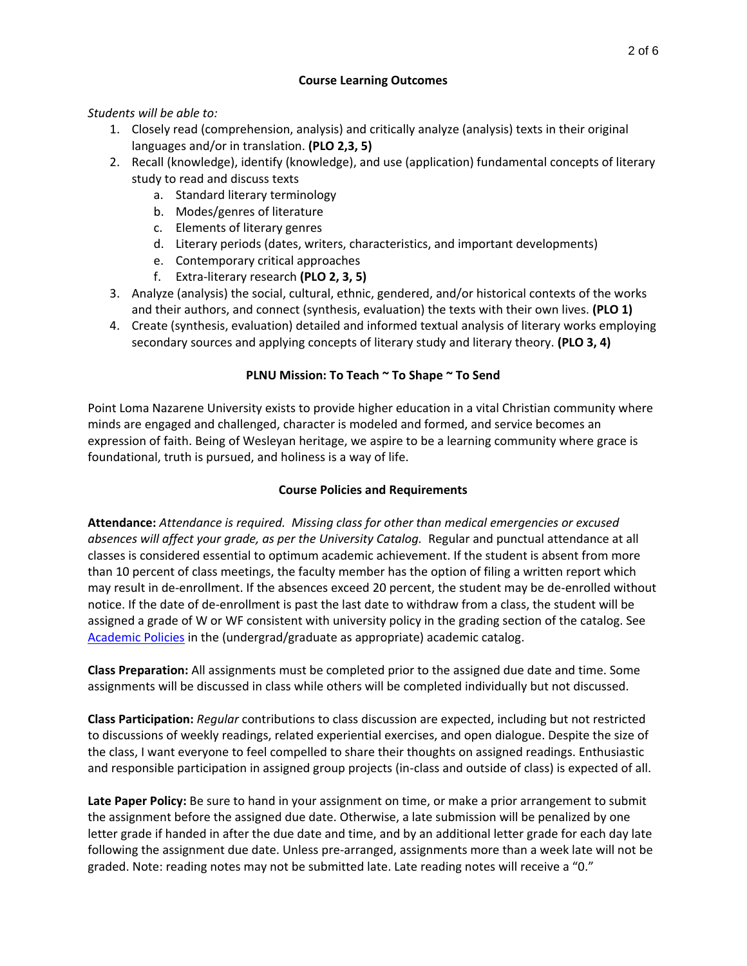## **Course Learning Outcomes**

*Students will be able to:*

- 1. Closely read (comprehension, analysis) and critically analyze (analysis) texts in their original languages and/or in translation. **(PLO 2,3, 5)**
- 2. Recall (knowledge), identify (knowledge), and use (application) fundamental concepts of literary study to read and discuss texts
	- a. Standard literary terminology
	- b. Modes/genres of literature
	- c. Elements of literary genres
	- d. Literary periods (dates, writers, characteristics, and important developments)
	- e. Contemporary critical approaches
	- f. Extra-literary research **(PLO 2, 3, 5)**
- 3. Analyze (analysis) the social, cultural, ethnic, gendered, and/or historical contexts of the works and their authors, and connect (synthesis, evaluation) the texts with their own lives. **(PLO 1)**
- 4. Create (synthesis, evaluation) detailed and informed textual analysis of literary works employing secondary sources and applying concepts of literary study and literary theory. **(PLO 3, 4)**

## **PLNU Mission: To Teach ~ To Shape ~ To Send**

Point Loma Nazarene University exists to provide higher education in a vital Christian community where minds are engaged and challenged, character is modeled and formed, and service becomes an expression of faith. Being of Wesleyan heritage, we aspire to be a learning community where grace is foundational, truth is pursued, and holiness is a way of life.

## **Course Policies and Requirements**

**Attendance:** *Attendance is required. Missing class for other than medical emergencies or excused absences will affect your grade, as per the University Catalog.* Regular and punctual attendance at all classes is considered essential to optimum academic achievement. If the student is absent from more than 10 percent of class meetings, the faculty member has the option of filing a written report which may result in de-enrollment. If the absences exceed 20 percent, the student may be de-enrolled without notice. If the date of de-enrollment is past the last date to withdraw from a class, the student will be assigned a grade of W or WF consistent with university policy in the grading section of the catalog. See [Academic Policies](http://catalog.pointloma.edu/content.php?catoid=24&navoid=1581) in the (undergrad/graduate as appropriate) academic catalog.

**Class Preparation:** All assignments must be completed prior to the assigned due date and time. Some assignments will be discussed in class while others will be completed individually but not discussed.

**Class Participation:** *Regular* contributions to class discussion are expected, including but not restricted to discussions of weekly readings, related experiential exercises, and open dialogue. Despite the size of the class, I want everyone to feel compelled to share their thoughts on assigned readings. Enthusiastic and responsible participation in assigned group projects (in-class and outside of class) is expected of all.

**Late Paper Policy:** Be sure to hand in your assignment on time, or make a prior arrangement to submit the assignment before the assigned due date. Otherwise, a late submission will be penalized by one letter grade if handed in after the due date and time, and by an additional letter grade for each day late following the assignment due date. Unless pre-arranged, assignments more than a week late will not be graded. Note: reading notes may not be submitted late. Late reading notes will receive a "0."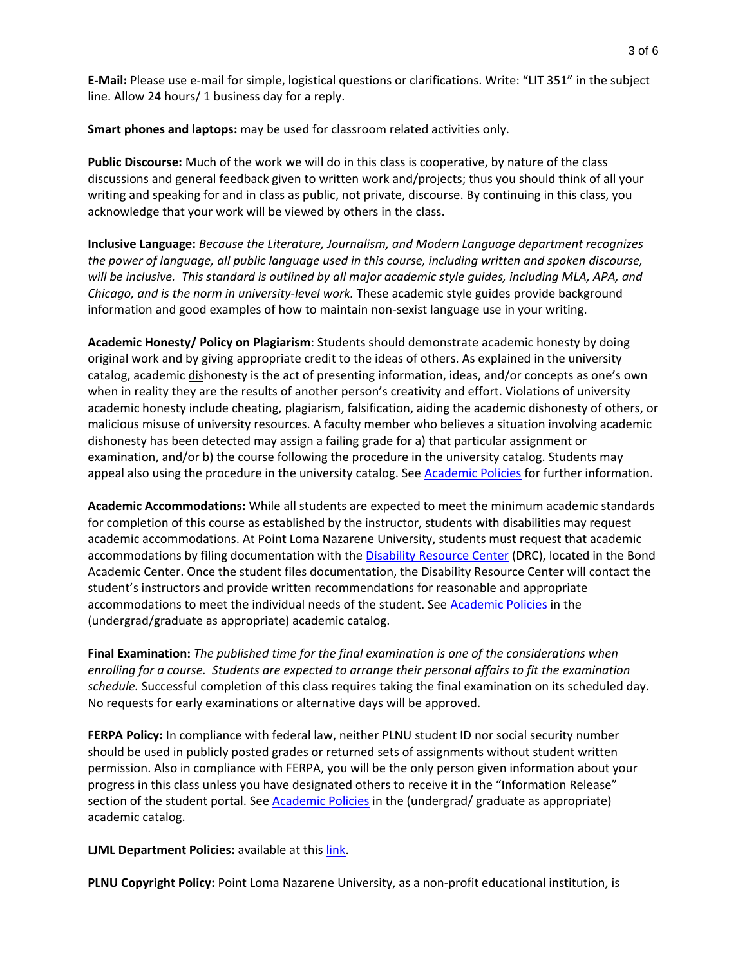**E-Mail:** Please use e-mail for simple, logistical questions or clarifications. Write: "LIT 351" in the subject line. Allow 24 hours/ 1 business day for a reply.

**Smart phones and laptops:** may be used for classroom related activities only.

**Public Discourse:** Much of the work we will do in this class is cooperative, by nature of the class discussions and general feedback given to written work and/projects; thus you should think of all your writing and speaking for and in class as public, not private, discourse. By continuing in this class, you acknowledge that your work will be viewed by others in the class.

**Inclusive Language:** *Because the Literature, Journalism, and Modern Language department recognizes the power of language, all public language used in this course, including written and spoken discourse, will be inclusive. This standard is outlined by all major academic style guides, including MLA, APA, and Chicago, and is the norm in university-level work.* These academic style guides provide background information and good examples of how to maintain non-sexist language use in your writing.

**Academic Honesty/ Policy on Plagiarism**: Students should demonstrate academic honesty by doing original work and by giving appropriate credit to the ideas of others. As explained in the university catalog, academic dishonesty is the act of presenting information, ideas, and/or concepts as one's own when in reality they are the results of another person's creativity and effort. Violations of university academic honesty include cheating, plagiarism, falsification, aiding the academic dishonesty of others, or malicious misuse of university resources. A faculty member who believes a situation involving academic dishonesty has been detected may assign a failing grade for a) that particular assignment or examination, and/or b) the course following the procedure in the university catalog. Students may appeal also using the procedure in the university catalog. See [Academic Policies](http://catalog.pointloma.edu/content.php?catoid=24&navoid=1581#Academic_Honesty) for further information.

**Academic Accommodations:** While all students are expected to meet the minimum academic standards for completion of this course as established by the instructor, students with disabilities may request academic accommodations. At Point Loma Nazarene University, students must request that academic accommodations by filing documentation with the [Disability Resource Center](http://www.pointloma.edu/experience/offices/administrative-offices/academic-advising-office/disability-resource-center) (DRC), located in the Bond Academic Center. Once the student files documentation, the Disability Resource Center will contact the student's instructors and provide written recommendations for reasonable and appropriate accommodations to meet the individual needs of the student. See [Academic Policies](http://catalog.pointloma.edu/content.php?catoid=24&navoid=1581) in the (undergrad/graduate as appropriate) academic catalog.

**Final Examination:** *The published time for the final examination is one of the considerations when enrolling for a course. Students are expected to arrange their personal affairs to fit the examination schedule.* Successful completion of this class requires taking the final examination on its scheduled day. No requests for early examinations or alternative days will be approved.

**FERPA Policy:** In compliance with federal law, neither PLNU student ID nor social security number should be used in publicly posted grades or returned sets of assignments without student written permission. Also in compliance with FERPA, you will be the only person given information about your progress in this class unless you have designated others to receive it in the "Information Release" section of the student portal. See [Academic Policies](http://catalog.pointloma.edu/content.php?catoid=24&navoid=1581) in the (undergrad/ graduate as appropriate) academic catalog.

**LJML Department Policies: available at this [link.](http://www.pointloma.edu/sites/default/files/filemanager/Literature_Journalism__Modern_Languages/LJML_Department_Syllabus_Statments_final_2016-17.pdf)** 

**PLNU Copyright Policy:** Point Loma Nazarene University, as a non-profit educational institution, is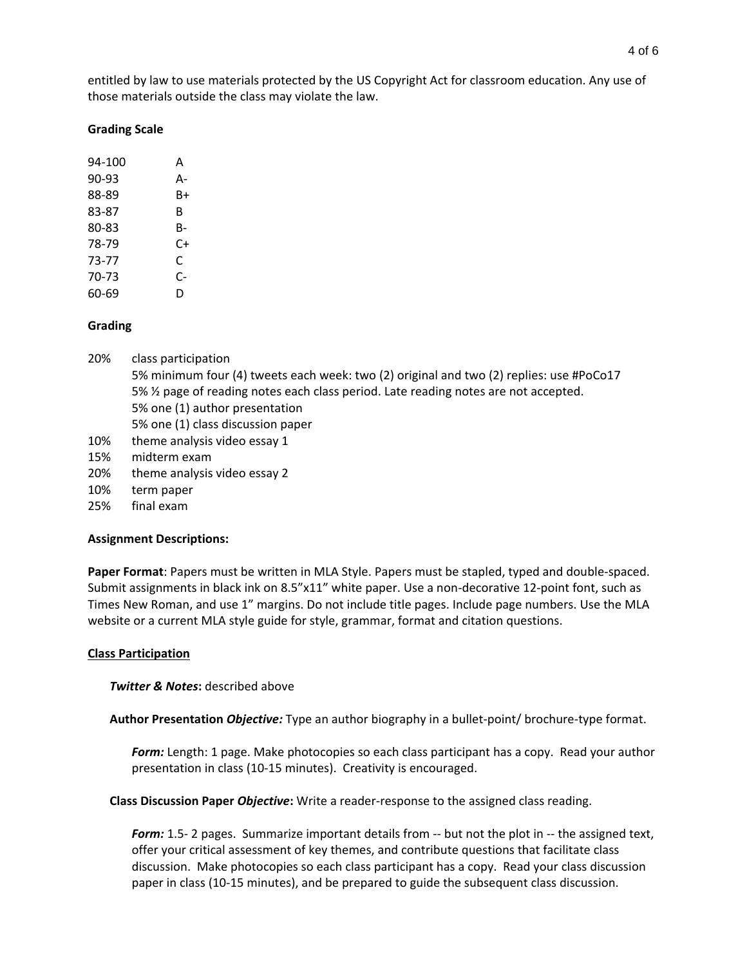## **Grading Scale**

| 94-100 | А  |
|--------|----|
| 90-93  | А- |
| 88-89  | B+ |
| 83-87  | B  |
| 80-83  | B- |
| 78-79  | C+ |
| 73-77  | C  |
| 70-73  | C- |
| 60-69  | D  |

## **Grading**

- 20% class participation 5% minimum four (4) tweets each week: two (2) original and two (2) replies: use #PoCo17 5% ½ page of reading notes each class period. Late reading notes are not accepted. 5% one (1) author presentation 5% one (1) class discussion paper 10% theme analysis video essay 1 15% midterm exam 20% theme analysis video essay 2
- 10% term paper
- 25% final exam

## **Assignment Descriptions:**

**Paper Format**: Papers must be written in MLA Style. Papers must be stapled, typed and double-spaced. Submit assignments in black ink on 8.5"x11" white paper. Use a non-decorative 12-point font, such as Times New Roman, and use 1" margins. Do not include title pages. Include page numbers. Use the MLA website or a current MLA style guide for style, grammar, format and citation questions.

#### **Class Participation**

**Twitter & Notes:** described above

**Author Presentation** *Objective:* Type an author biography in a bullet-point/ brochure-type format.

*Form:* Length: 1 page. Make photocopies so each class participant has a copy. Read your author presentation in class (10-15 minutes). Creativity is encouraged.

**Class Discussion Paper** *Objective***:** Write a reader-response to the assigned class reading.

**Form:** 1.5- 2 pages. Summarize important details from -- but not the plot in -- the assigned text, offer your critical assessment of key themes, and contribute questions that facilitate class discussion. Make photocopies so each class participant has a copy. Read your class discussion paper in class (10-15 minutes), and be prepared to guide the subsequent class discussion.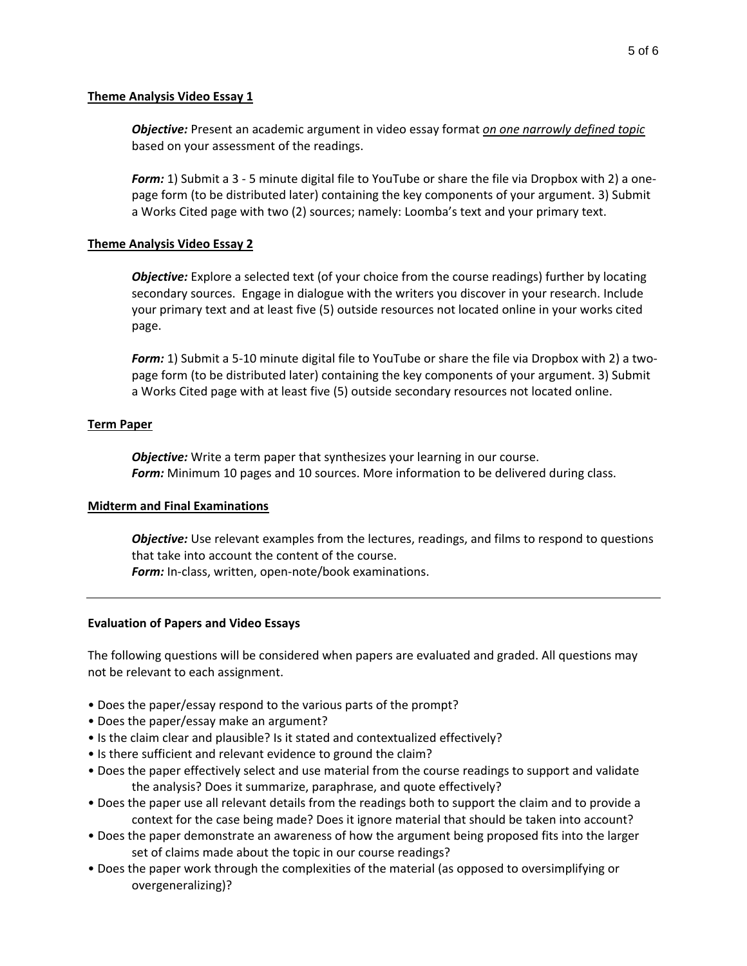### **Theme Analysis Video Essay 1**

*Objective:* Present an academic argument in video essay format *on one narrowly defined topic* based on your assessment of the readings.

*Form:* 1) Submit a 3 - 5 minute digital file to YouTube or share the file via Dropbox with 2) a onepage form (to be distributed later) containing the key components of your argument. 3) Submit a Works Cited page with two (2) sources; namely: Loomba's text and your primary text.

## **Theme Analysis Video Essay 2**

*Objective:* Explore a selected text (of your choice from the course readings) further by locating secondary sources. Engage in dialogue with the writers you discover in your research. Include your primary text and at least five (5) outside resources not located online in your works cited page.

*Form:* 1) Submit a 5-10 minute digital file to YouTube or share the file via Dropbox with 2) a twopage form (to be distributed later) containing the key components of your argument. 3) Submit a Works Cited page with at least five (5) outside secondary resources not located online.

## **Term Paper**

*Objective:* Write a term paper that synthesizes your learning in our course. *Form:* Minimum 10 pages and 10 sources. More information to be delivered during class.

## **Midterm and Final Examinations**

*Objective:* Use relevant examples from the lectures, readings, and films to respond to questions that take into account the content of the course. *Form:* In-class, written, open-note/book examinations.

## **Evaluation of Papers and Video Essays**

The following questions will be considered when papers are evaluated and graded. All questions may not be relevant to each assignment.

- Does the paper/essay respond to the various parts of the prompt?
- Does the paper/essay make an argument?
- Is the claim clear and plausible? Is it stated and contextualized effectively?
- Is there sufficient and relevant evidence to ground the claim?
- Does the paper effectively select and use material from the course readings to support and validate the analysis? Does it summarize, paraphrase, and quote effectively?
- Does the paper use all relevant details from the readings both to support the claim and to provide a context for the case being made? Does it ignore material that should be taken into account?
- Does the paper demonstrate an awareness of how the argument being proposed fits into the larger set of claims made about the topic in our course readings?
- Does the paper work through the complexities of the material (as opposed to oversimplifying or overgeneralizing)?